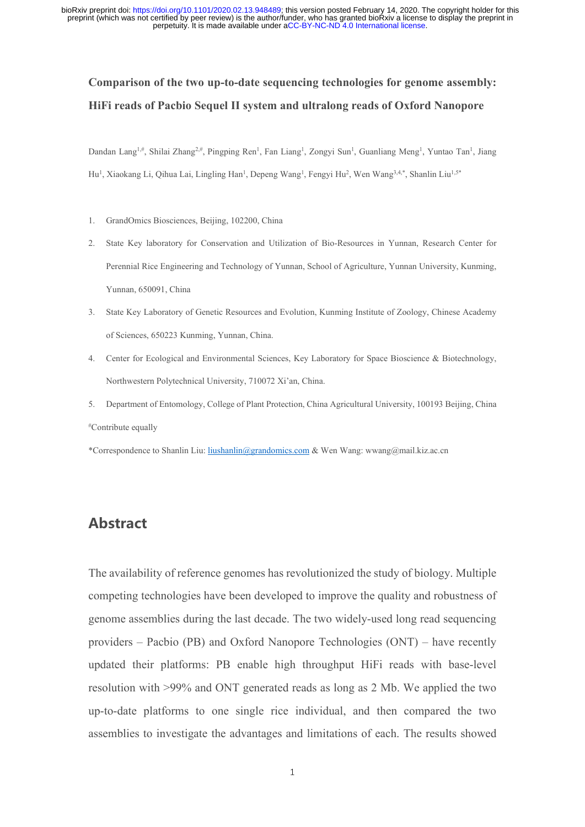perpetuity. It is made available under [aCC-BY-NC-ND 4.0 International license.](http://creativecommons.org/licenses/by-nc-nd/4.0/) preprint (which was not certified by peer review) is the author/funder, who has granted bioRxiv a license to display the preprint in bioRxiv preprint doi: [https://doi.org/10.1101/2020.02.13.948489;](https://doi.org/10.1101/2020.02.13.948489) this version posted February 14, 2020. The copyright holder for this

# **Comparison of the two up-to-date sequencing technologies for genome assembly: HiFi reads of Pacbio Sequel II system and ultralong reads of Oxford Nanopore**

Dandan Lang<sup>1,#</sup>, Shilai Zhang<sup>2,#</sup>, Pingping Ren<sup>1</sup>, Fan Liang<sup>1</sup>, Zongyi Sun<sup>1</sup>, Guanliang Meng<sup>1</sup>, Yuntao Tan<sup>1</sup>, Jiang Hu<sup>1</sup>, Xiaokang Li, Qihua Lai, Lingling Han<sup>1</sup>, Depeng Wang<sup>1</sup>, Fengyi Hu<sup>2</sup>, Wen Wang<sup>3,4,\*</sup>, Shanlin Liu<sup>1,5\*</sup>

- 1. GrandOmics Biosciences, Beijing, 102200, China
- 2. State Key laboratory for Conservation and Utilization of Bio-Resources in Yunnan, Research Center for Perennial Rice Engineering and Technology of Yunnan, School of Agriculture, Yunnan University, Kunming, Yunnan, 650091, China
- 3. State Key Laboratory of Genetic Resources and Evolution, Kunming Institute of Zoology, Chinese Academy of Sciences, 650223 Kunming, Yunnan, China.
- 4. Center for Ecological and Environmental Sciences, Key Laboratory for Space Bioscience & Biotechnology, Northwestern Polytechnical University, 710072 Xi'an, China.
- 5. Department of Entomology, College of Plant Protection, China Agricultural University, 100193 Beijing, China #Contribute equally

\*Correspondence to Shanlin Liu[: liushanlin@grandomics.com](mailto:liushanlin@grandomics.com) & Wen Wang: wwang@mail.kiz.ac.cn

## **Abstract**

The availability of reference genomes has revolutionized the study of biology. Multiple competing technologies have been developed to improve the quality and robustness of genome assemblies during the last decade. The two widely-used long read sequencing providers – Pacbio (PB) and Oxford Nanopore Technologies (ONT) – have recently updated their platforms: PB enable high throughput HiFi reads with base-level resolution with >99% and ONT generated reads as long as 2 Mb. We applied the two up-to-date platforms to one single rice individual, and then compared the two assemblies to investigate the advantages and limitations of each. The results showed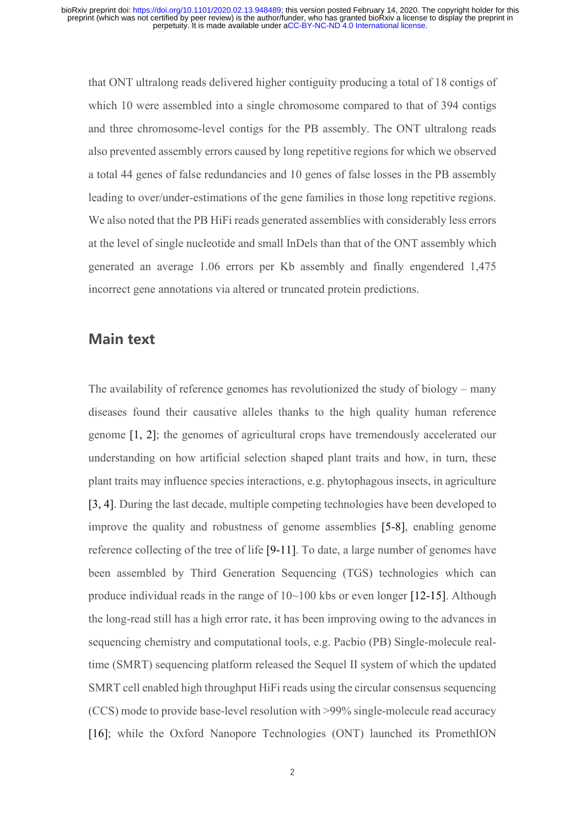that ONT ultralong reads delivered higher contiguity producing a total of 18 contigs of which 10 were assembled into a single chromosome compared to that of 394 contigs and three chromosome-level contigs for the PB assembly. The ONT ultralong reads also prevented assembly errors caused by long repetitive regions for which we observed a total 44 genes of false redundancies and 10 genes of false losses in the PB assembly leading to over/under-estimations of the gene families in those long repetitive regions. We also noted that the PB HiFi reads generated assemblies with considerably less errors at the level of single nucleotide and small InDels than that of the ONT assembly which generated an average 1.06 errors per Kb assembly and finally engendered 1,475 incorrect gene annotations via altered or truncated protein predictions.

#### **Main text**

The availability of reference genomes has revolutionized the study of biology – many diseases found their causative alleles thanks to the high quality human reference genome [1, 2]; the genomes of agricultural crops have tremendously accelerated our understanding on how artificial selection shaped plant traits and how, in turn, these plant traits may influence species interactions, e.g. phytophagous insects, in agriculture [3, 4]. During the last decade, multiple competing technologies have been developed to improve the quality and robustness of genome assemblies [5-8], enabling genome reference collecting of the tree of life [9-11]. To date, a large number of genomes have been assembled by Third Generation Sequencing (TGS) technologies which can produce individual reads in the range of 10~100 kbs or even longer [12-15]. Although the long-read still has a high error rate, it has been improving owing to the advances in sequencing chemistry and computational tools, e.g. Pacbio (PB) Single-molecule realtime (SMRT) sequencing platform released the Sequel II system of which the updated SMRT cell enabled high throughput HiFi reads using the circular consensus sequencing (CCS) mode to provide base-level resolution with >99% single-molecule read accuracy [16]; while the Oxford Nanopore Technologies (ONT) launched its PromethION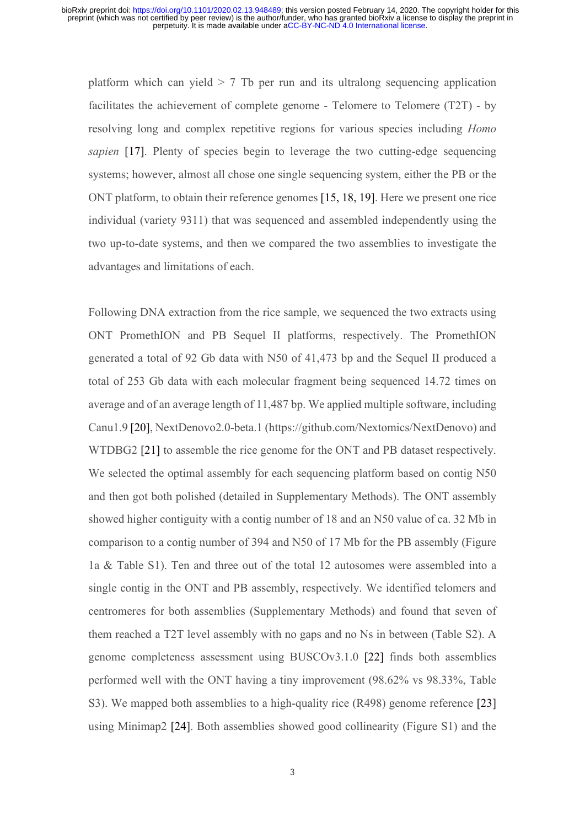platform which can yield  $> 7$  Tb per run and its ultralong sequencing application facilitates the achievement of complete genome - Telomere to Telomere (T2T) - by resolving long and complex repetitive regions for various species including *Homo sapien* [17]. Plenty of species begin to leverage the two cutting-edge sequencing systems; however, almost all chose one single sequencing system, either the PB or the ONT platform, to obtain their reference genomes [15, 18, 19]. Here we present one rice individual (variety 9311) that was sequenced and assembled independently using the two up-to-date systems, and then we compared the two assemblies to investigate the advantages and limitations of each.

Following DNA extraction from the rice sample, we sequenced the two extracts using ONT PromethION and PB Sequel II platforms, respectively. The PromethION generated a total of 92 Gb data with N50 of 41,473 bp and the Sequel II produced a total of 253 Gb data with each molecular fragment being sequenced 14.72 times on average and of an average length of 11,487 bp. We applied multiple software, including Canu1.9 [20], NextDenovo2.0-beta.1 (https://github.com/Nextomics/NextDenovo) and WTDBG2 [21] to assemble the rice genome for the ONT and PB dataset respectively. We selected the optimal assembly for each sequencing platform based on contig N50 and then got both polished (detailed in Supplementary Methods). The ONT assembly showed higher contiguity with a contig number of 18 and an N50 value of ca. 32 Mb in comparison to a contig number of 394 and N50 of 17 Mb for the PB assembly (Figure 1a & Table S1). Ten and three out of the total 12 autosomes were assembled into a single contig in the ONT and PB assembly, respectively. We identified telomers and centromeres for both assemblies (Supplementary Methods) and found that seven of them reached a T2T level assembly with no gaps and no Ns in between (Table S2). A genome completeness assessment using BUSCOv3.1.0 [22] finds both assemblies performed well with the ONT having a tiny improvement (98.62% vs 98.33%, Table S3). We mapped both assemblies to a high-quality rice (R498) genome reference [23] using Minimap2 [24]. Both assemblies showed good collinearity (Figure S1) and the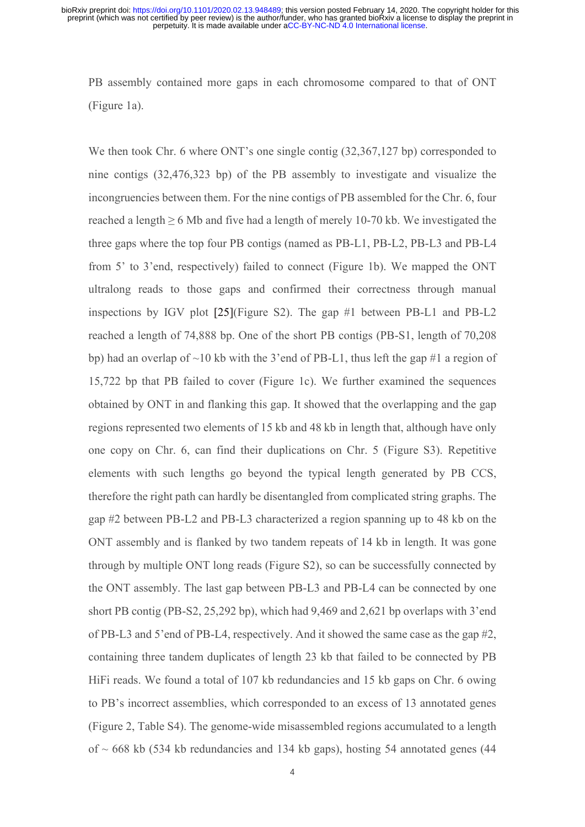PB assembly contained more gaps in each chromosome compared to that of ONT (Figure 1a).

We then took Chr. 6 where ONT's one single contig  $(32,367,127)$  bp) corresponded to nine contigs (32,476,323 bp) of the PB assembly to investigate and visualize the incongruencies between them. For the nine contigs of PB assembled for the Chr. 6, four reached a length  $\geq 6$  Mb and five had a length of merely 10-70 kb. We investigated the three gaps where the top four PB contigs (named as PB-L1, PB-L2, PB-L3 and PB-L4 from 5' to 3'end, respectively) failed to connect (Figure 1b). We mapped the ONT ultralong reads to those gaps and confirmed their correctness through manual inspections by IGV plot [25](Figure S2). The gap #1 between PB-L1 and PB-L2 reached a length of 74,888 bp. One of the short PB contigs (PB-S1, length of 70,208 bp) had an overlap of  $\sim$ 10 kb with the 3'end of PB-L1, thus left the gap #1 a region of 15,722 bp that PB failed to cover (Figure 1c). We further examined the sequences obtained by ONT in and flanking this gap. It showed that the overlapping and the gap regions represented two elements of 15 kb and 48 kb in length that, although have only one copy on Chr. 6, can find their duplications on Chr. 5 (Figure S3). Repetitive elements with such lengths go beyond the typical length generated by PB CCS, therefore the right path can hardly be disentangled from complicated string graphs. The gap #2 between PB-L2 and PB-L3 characterized a region spanning up to 48 kb on the ONT assembly and is flanked by two tandem repeats of 14 kb in length. It was gone through by multiple ONT long reads (Figure S2), so can be successfully connected by the ONT assembly. The last gap between PB-L3 and PB-L4 can be connected by one short PB contig (PB-S2, 25,292 bp), which had 9,469 and 2,621 bp overlaps with 3'end of PB-L3 and 5'end of PB-L4, respectively. And it showed the same case as the gap #2, containing three tandem duplicates of length 23 kb that failed to be connected by PB HiFi reads. We found a total of 107 kb redundancies and 15 kb gaps on Chr. 6 owing to PB's incorrect assemblies, which corresponded to an excess of 13 annotated genes (Figure 2, Table S4). The genome-wide misassembled regions accumulated to a length of  $\sim$  668 kb (534 kb redundancies and 134 kb gaps), hosting 54 annotated genes (44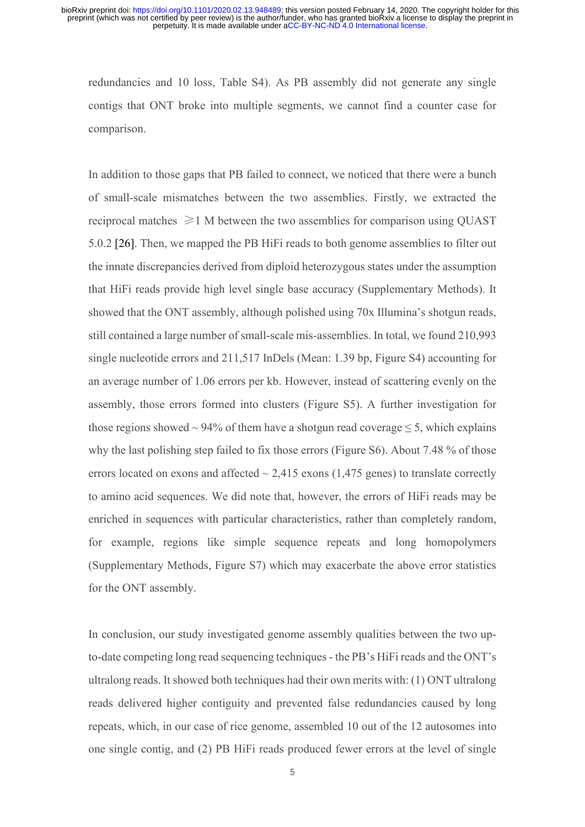redundancies and 10 loss, Table S4). As PB assembly did not generate any single contigs that ONT broke into multiple segments, we cannot find a counter case for comparison.

In addition to those gaps that PB failed to connect, we noticed that there were a bunch of small-scale mismatches between the two assemblies. Firstly, we extracted the reciprocal matches  $\geq 1$  M between the two assemblies for comparison using OUAST 5.0.2 [26]. Then, we mapped the PB HiFi reads to both genome assemblies to filter out the innate discrepancies derived from diploid heterozygous states under the assumption that HiFi reads provide high level single base accuracy (Supplementary Methods). It showed that the ONT assembly, although polished using 70x Illumina's shotgun reads, still contained a large number of small-scale mis-assemblies. In total, we found 210,993 single nucleotide errors and 211,517 InDels (Mean: 1.39 bp, Figure S4) accounting for an average number of 1.06 errors per kb. However, instead of scattering evenly on the assembly, those errors formed into clusters (Figure S5). A further investigation for those regions showed ~ 94% of them have a shotgun read coverage  $\leq$  5, which explains why the last polishing step failed to fix those errors (Figure S6). About 7.48 % of those errors located on exons and affected  $\sim$  2,415 exons (1,475 genes) to translate correctly to amino acid sequences. We did note that, however, the errors of HiFi reads may be enriched in sequences with particular characteristics, rather than completely random, for example, regions like simple sequence repeats and long homopolymers (Supplementary Methods, Figure S7) which may exacerbate the above error statistics for the ONT assembly.

In conclusion, our study investigated genome assembly qualities between the two upto-date competing long read sequencing techniques - the PB's HiFi reads and the ONT's ultralong reads. It showed both techniques had their own merits with: (1) ONT ultralong reads delivered higher contiguity and prevented false redundancies caused by long repeats, which, in our case of rice genome, assembled 10 out of the 12 autosomes into one single contig, and (2) PB HiFi reads produced fewer errors at the level of single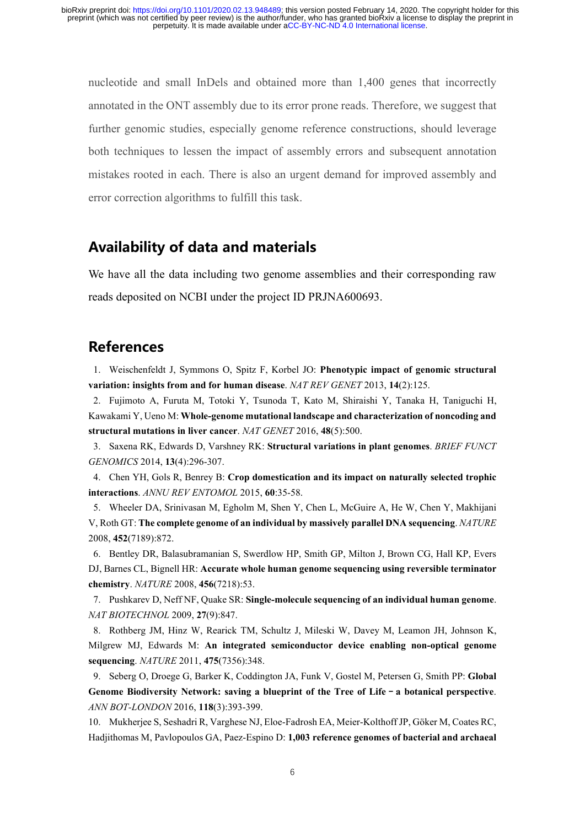nucleotide and small InDels and obtained more than 1,400 genes that incorrectly annotated in the ONT assembly due to its error prone reads. Therefore, we suggest that further genomic studies, especially genome reference constructions, should leverage both techniques to lessen the impact of assembly errors and subsequent annotation mistakes rooted in each. There is also an urgent demand for improved assembly and error correction algorithms to fulfill this task.

## **Availability of data and materials**

We have all the data including two genome assemblies and their corresponding raw reads deposited on NCBI under the project ID PRJNA600693.

## **References**

1. Weischenfeldt J, Symmons O, Spitz F, Korbel JO: **Phenotypic impact of genomic structural variation: insights from and for human disease**. *NAT REV GENET* 2013, **14**(2):125.

2. Fujimoto A, Furuta M, Totoki Y, Tsunoda T, Kato M, Shiraishi Y, Tanaka H, Taniguchi H, Kawakami Y, Ueno M: **Whole-genome mutational landscape and characterization of noncoding and structural mutations in liver cancer**. *NAT GENET* 2016, **48**(5):500.

3. Saxena RK, Edwards D, Varshney RK: **Structural variations in plant genomes**. *BRIEF FUNCT GENOMICS* 2014, **13**(4):296-307.

4. Chen YH, Gols R, Benrey B: **Crop domestication and its impact on naturally selected trophic interactions**. *ANNU REV ENTOMOL* 2015, **60**:35-58.

5. Wheeler DA, Srinivasan M, Egholm M, Shen Y, Chen L, McGuire A, He W, Chen Y, Makhijani V, Roth GT: **The complete genome of an individual by massively parallel DNA sequencing**. *NATURE* 2008, **452**(7189):872.

6. Bentley DR, Balasubramanian S, Swerdlow HP, Smith GP, Milton J, Brown CG, Hall KP, Evers DJ, Barnes CL, Bignell HR: **Accurate whole human genome sequencing using reversible terminator chemistry**. *NATURE* 2008, **456**(7218):53.

7. Pushkarev D, Neff NF, Quake SR: **Single-molecule sequencing of an individual human genome**. *NAT BIOTECHNOL* 2009, **27**(9):847.

8. Rothberg JM, Hinz W, Rearick TM, Schultz J, Mileski W, Davey M, Leamon JH, Johnson K, Milgrew MJ, Edwards M: **An integrated semiconductor device enabling non-optical genome sequencing**. *NATURE* 2011, **475**(7356):348.

9. Seberg O, Droege G, Barker K, Coddington JA, Funk V, Gostel M, Petersen G, Smith PP: **Global Genome Biodiversity Network: saving a blueprint of the Tree of Life**–**a botanical perspective**. *ANN BOT-LONDON* 2016, **118**(3):393-399.

10. Mukherjee S, Seshadri R, Varghese NJ, Eloe-Fadrosh EA, Meier-Kolthoff JP, Göker M, Coates RC, Hadjithomas M, Pavlopoulos GA, Paez-Espino D: **1,003 reference genomes of bacterial and archaeal**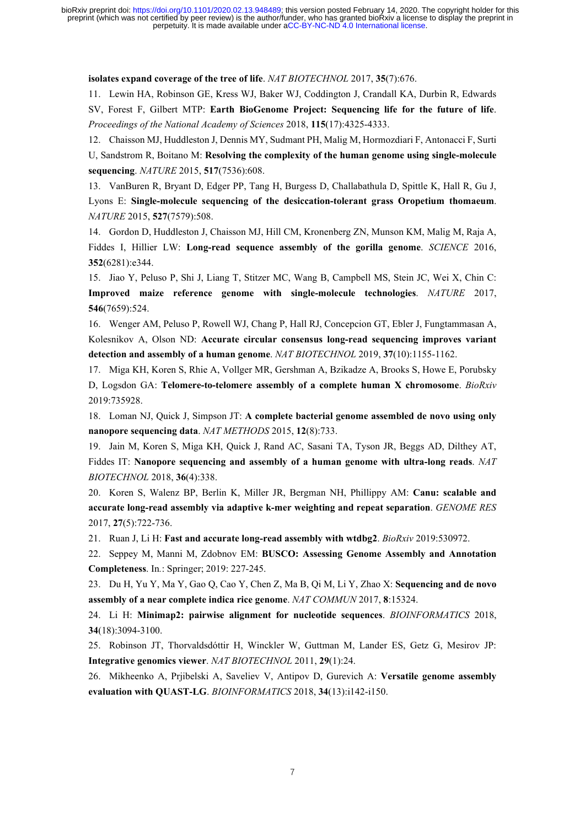perpetuity. It is made available under [aCC-BY-NC-ND 4.0 International license.](http://creativecommons.org/licenses/by-nc-nd/4.0/) preprint (which was not certified by peer review) is the author/funder, who has granted bioRxiv a license to display the preprint in bioRxiv preprint doi: [https://doi.org/10.1101/2020.02.13.948489;](https://doi.org/10.1101/2020.02.13.948489) this version posted February 14, 2020. The copyright holder for this

**isolates expand coverage of the tree of life**. *NAT BIOTECHNOL* 2017, **35**(7):676.

11. Lewin HA, Robinson GE, Kress WJ, Baker WJ, Coddington J, Crandall KA, Durbin R, Edwards

SV, Forest F, Gilbert MTP: **Earth BioGenome Project: Sequencing life for the future of life**. *Proceedings of the National Academy of Sciences* 2018, **115**(17):4325-4333.

12. Chaisson MJ, Huddleston J, Dennis MY, Sudmant PH, Malig M, Hormozdiari F, Antonacci F, Surti U, Sandstrom R, Boitano M: **Resolving the complexity of the human genome using single-molecule sequencing**. *NATURE* 2015, **517**(7536):608.

13. VanBuren R, Bryant D, Edger PP, Tang H, Burgess D, Challabathula D, Spittle K, Hall R, Gu J, Lyons E: **Single-molecule sequencing of the desiccation-tolerant grass Oropetium thomaeum**. *NATURE* 2015, **527**(7579):508.

14. Gordon D, Huddleston J, Chaisson MJ, Hill CM, Kronenberg ZN, Munson KM, Malig M, Raja A, Fiddes I, Hillier LW: **Long-read sequence assembly of the gorilla genome**. *SCIENCE* 2016, **352**(6281):e344.

15. Jiao Y, Peluso P, Shi J, Liang T, Stitzer MC, Wang B, Campbell MS, Stein JC, Wei X, Chin C: **Improved maize reference genome with single-molecule technologies**. *NATURE* 2017, **546**(7659):524.

16. Wenger AM, Peluso P, Rowell WJ, Chang P, Hall RJ, Concepcion GT, Ebler J, Fungtammasan A, Kolesnikov A, Olson ND: **Accurate circular consensus long-read sequencing improves variant detection and assembly of a human genome**. *NAT BIOTECHNOL* 2019, **37**(10):1155-1162.

17. Miga KH, Koren S, Rhie A, Vollger MR, Gershman A, Bzikadze A, Brooks S, Howe E, Porubsky D, Logsdon GA: **Telomere-to-telomere assembly of a complete human X chromosome**. *BioRxiv* 2019:735928.

18. Loman NJ, Quick J, Simpson JT: **A complete bacterial genome assembled de novo using only nanopore sequencing data**. *NAT METHODS* 2015, **12**(8):733.

19. Jain M, Koren S, Miga KH, Quick J, Rand AC, Sasani TA, Tyson JR, Beggs AD, Dilthey AT, Fiddes IT: **Nanopore sequencing and assembly of a human genome with ultra-long reads**. *NAT BIOTECHNOL* 2018, **36**(4):338.

20. Koren S, Walenz BP, Berlin K, Miller JR, Bergman NH, Phillippy AM: **Canu: scalable and accurate long-read assembly via adaptive k-mer weighting and repeat separation**. *GENOME RES* 2017, **27**(5):722-736.

21. Ruan J, Li H: **Fast and accurate long-read assembly with wtdbg2**. *BioRxiv* 2019:530972.

22. Seppey M, Manni M, Zdobnov EM: **BUSCO: Assessing Genome Assembly and Annotation Completeness**. In*.*: Springer; 2019: 227-245.

23. Du H, Yu Y, Ma Y, Gao Q, Cao Y, Chen Z, Ma B, Qi M, Li Y, Zhao X: **Sequencing and de novo assembly of a near complete indica rice genome**. *NAT COMMUN* 2017, **8**:15324.

24. Li H: **Minimap2: pairwise alignment for nucleotide sequences**. *BIOINFORMATICS* 2018, **34**(18):3094-3100.

25. Robinson JT, Thorvaldsdóttir H, Winckler W, Guttman M, Lander ES, Getz G, Mesirov JP: **Integrative genomics viewer**. *NAT BIOTECHNOL* 2011, **29**(1):24.

26. Mikheenko A, Prjibelski A, Saveliev V, Antipov D, Gurevich A: **Versatile genome assembly evaluation with QUAST-LG**. *BIOINFORMATICS* 2018, **34**(13):i142-i150.